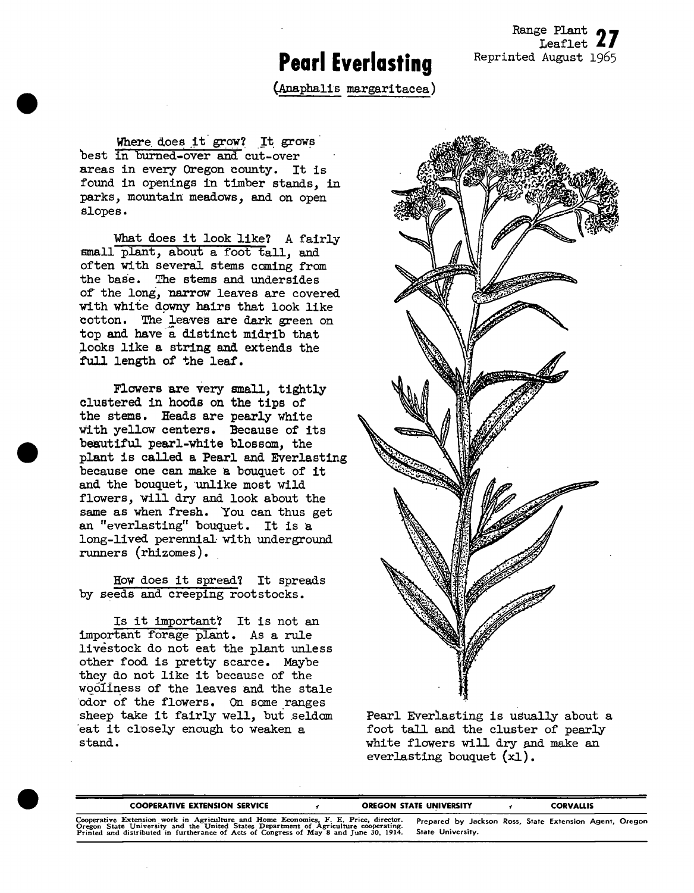## **Pearl Everlasting**

Range Plant Leaflet *LI* Reprinted August 1965

(Araphalls margaritacea)

Where does it grow? It grows best in burned-over and cut-over areas in every Oregon county. It is found in openings in timber stands, in parks, mountain meadows, and on open slopes.

What does it look like? A fairly small plant, about a foot tall, and often with severaJ. stems coming from the base. The stems and undersides of the long, narrow leaves are covered with white downy hairs that look like cotton. The leaves are dark green on top and have a distinct midrib that looks like a string and extends the full length of the leaf.

Flowers are very small, tightly clustered in hoods on the tips of the stems. Heads are pearly white with yellow centers. Because of its beautiful pearl-white blossom, the plant is called a Pearl and Everlasting because one can make a bouquet of it and the bouquet, unlike most wild flowers, vill dry and look about the same as when fresh. You can thus get an "everlasting" bouquet. It is a long-lived perennial with underground runners (rhizomes).

How does it spread? It spreads by seeds and creeping rootstocks.

Is it Important? It is not an important forage plant. As a rule livestock do not eat the plant unless other food is pretty scarce. Maybe they do not like it because of the wooliness of the leaves and the stale odor of the flowers. On some ranges sheep take it fairly well, but seldom eat it closely enough to weaken a stand.



Pearl Everlasting is usually about a foot tall and the cluster of pearly white flowers will dry and make an everlasting bouquet (xl).

| <b>COOPERATIVE EXTENSION SERVICE</b>                                                                                                                                                                                                                                   |  | <b>OREGON STATE UNIVERSITY</b>                                               | CORVALLIS |  |
|------------------------------------------------------------------------------------------------------------------------------------------------------------------------------------------------------------------------------------------------------------------------|--|------------------------------------------------------------------------------|-----------|--|
| Cooperative Extension work in Agriculture and Home Economics, F. E. Price, director.<br>Oregon State University and the United States Department of Agriculture cooperating.<br>Printed and distributed in furtherance of Acts of Congress of May 8 and June 30, 1914. |  | Prepared by Jackson Ross, State Extension Agent, Oregon<br>State University. |           |  |